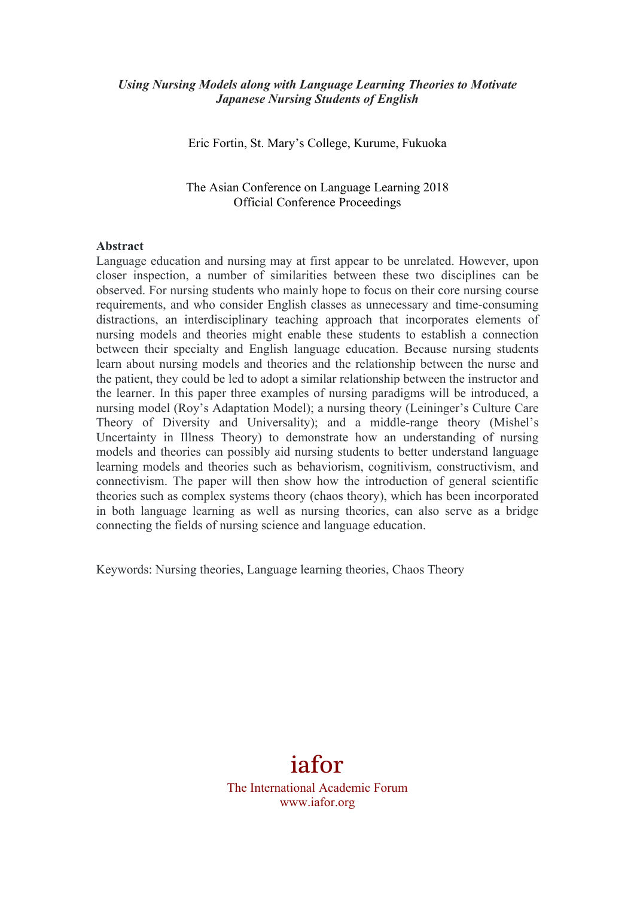# *Using Nursing Models along with Language Learning Theories to Motivate Japanese Nursing Students of English*

Eric Fortin, St. Mary's College, Kurume, Fukuoka

The Asian Conference on Language Learning 2018 Official Conference Proceedings

#### **Abstract**

Language education and nursing may at first appear to be unrelated. However, upon closer inspection, a number of similarities between these two disciplines can be observed. For nursing students who mainly hope to focus on their core nursing course requirements, and who consider English classes as unnecessary and time-consuming distractions, an interdisciplinary teaching approach that incorporates elements of nursing models and theories might enable these students to establish a connection between their specialty and English language education. Because nursing students learn about nursing models and theories and the relationship between the nurse and the patient, they could be led to adopt a similar relationship between the instructor and the learner. In this paper three examples of nursing paradigms will be introduced, a nursing model (Roy's Adaptation Model); a nursing theory (Leininger's Culture Care Theory of Diversity and Universality); and a middle-range theory (Mishel's Uncertainty in Illness Theory) to demonstrate how an understanding of nursing models and theories can possibly aid nursing students to better understand language learning models and theories such as behaviorism, cognitivism, constructivism, and connectivism. The paper will then show how the introduction of general scientific theories such as complex systems theory (chaos theory), which has been incorporated in both language learning as well as nursing theories, can also serve as a bridge connecting the fields of nursing science and language education.

Keywords: Nursing theories, Language learning theories, Chaos Theory

# iafor

The International Academic Forum www.iafor.org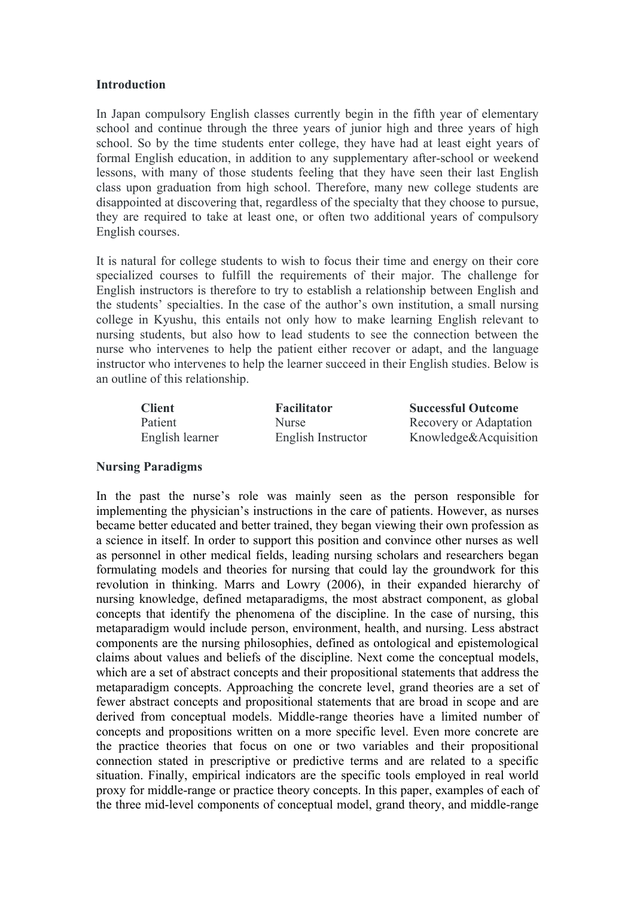#### **Introduction**

In Japan compulsory English classes currently begin in the fifth year of elementary school and continue through the three years of junior high and three years of high school. So by the time students enter college, they have had at least eight years of formal English education, in addition to any supplementary after-school or weekend lessons, with many of those students feeling that they have seen their last English class upon graduation from high school. Therefore, many new college students are disappointed at discovering that, regardless of the specialty that they choose to pursue, they are required to take at least one, or often two additional years of compulsory English courses.

It is natural for college students to wish to focus their time and energy on their core specialized courses to fulfill the requirements of their major. The challenge for English instructors is therefore to try to establish a relationship between English and the students' specialties. In the case of the author's own institution, a small nursing college in Kyushu, this entails not only how to make learning English relevant to nursing students, but also how to lead students to see the connection between the nurse who intervenes to help the patient either recover or adapt, and the language instructor who intervenes to help the learner succeed in their English studies. Below is an outline of this relationship.

| <b>Client</b>   | <b>Facilitator</b> | <b>Successful Outcome</b> |
|-----------------|--------------------|---------------------------|
| Patient         | <b>Nurse</b>       | Recovery or Adaptation    |
| English learner | English Instructor | Knowledge&Acquisition     |

#### **Nursing Paradigms**

In the past the nurse's role was mainly seen as the person responsible for implementing the physician's instructions in the care of patients. However, as nurses became better educated and better trained, they began viewing their own profession as a science in itself. In order to support this position and convince other nurses as well as personnel in other medical fields, leading nursing scholars and researchers began formulating models and theories for nursing that could lay the groundwork for this revolution in thinking. Marrs and Lowry (2006), in their expanded hierarchy of nursing knowledge, defined metaparadigms, the most abstract component, as global concepts that identify the phenomena of the discipline. In the case of nursing, this metaparadigm would include person, environment, health, and nursing. Less abstract components are the nursing philosophies, defined as ontological and epistemological claims about values and beliefs of the discipline. Next come the conceptual models, which are a set of abstract concepts and their propositional statements that address the metaparadigm concepts. Approaching the concrete level, grand theories are a set of fewer abstract concepts and propositional statements that are broad in scope and are derived from conceptual models. Middle-range theories have a limited number of concepts and propositions written on a more specific level. Even more concrete are the practice theories that focus on one or two variables and their propositional connection stated in prescriptive or predictive terms and are related to a specific situation. Finally, empirical indicators are the specific tools employed in real world proxy for middle-range or practice theory concepts. In this paper, examples of each of the three mid-level components of conceptual model, grand theory, and middle-range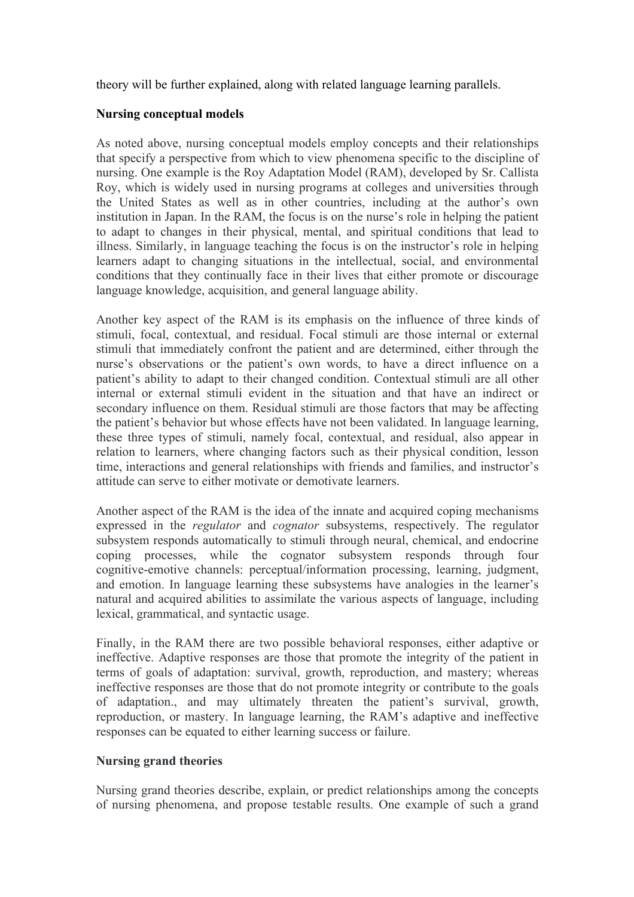theory will be further explained, along with related language learning parallels.

# **Nursing conceptual models**

As noted above, nursing conceptual models employ concepts and their relationships that specify a perspective from which to view phenomena specific to the discipline of nursing. One example is the Roy Adaptation Model (RAM), developed by Sr. Callista Roy, which is widely used in nursing programs at colleges and universities through the United States as well as in other countries, including at the author's own institution in Japan. In the RAM, the focus is on the nurse's role in helping the patient to adapt to changes in their physical, mental, and spiritual conditions that lead to illness. Similarly, in language teaching the focus is on the instructor's role in helping learners adapt to changing situations in the intellectual, social, and environmental conditions that they continually face in their lives that either promote or discourage language knowledge, acquisition, and general language ability.

Another key aspect of the RAM is its emphasis on the influence of three kinds of stimuli, focal, contextual, and residual. Focal stimuli are those internal or external stimuli that immediately confront the patient and are determined, either through the nurse's observations or the patient's own words, to have a direct influence on a patient's ability to adapt to their changed condition. Contextual stimuli are all other internal or external stimuli evident in the situation and that have an indirect or secondary influence on them. Residual stimuli are those factors that may be affecting the patient's behavior but whose effects have not been validated. In language learning, these three types of stimuli, namely focal, contextual, and residual, also appear in relation to learners, where changing factors such as their physical condition, lesson time, interactions and general relationships with friends and families, and instructor's attitude can serve to either motivate or demotivate learners.

Another aspect of the RAM is the idea of the innate and acquired coping mechanisms expressed in the *regulator* and *cognator* subsystems, respectively. The regulator subsystem responds automatically to stimuli through neural, chemical, and endocrine coping processes, while the cognator subsystem responds through four cognitive-emotive channels: perceptual/information processing, learning, judgment, and emotion. In language learning these subsystems have analogies in the learner's natural and acquired abilities to assimilate the various aspects of language, including lexical, grammatical, and syntactic usage.

Finally, in the RAM there are two possible behavioral responses, either adaptive or ineffective. Adaptive responses are those that promote the integrity of the patient in terms of goals of adaptation: survival, growth, reproduction, and mastery; whereas ineffective responses are those that do not promote integrity or contribute to the goals of adaptation., and may ultimately threaten the patient's survival, growth, reproduction, or mastery. In language learning, the RAM's adaptive and ineffective responses can be equated to either learning success or failure.

# **Nursing grand theories**

Nursing grand theories describe, explain, or predict relationships among the concepts of nursing phenomena, and propose testable results. One example of such a grand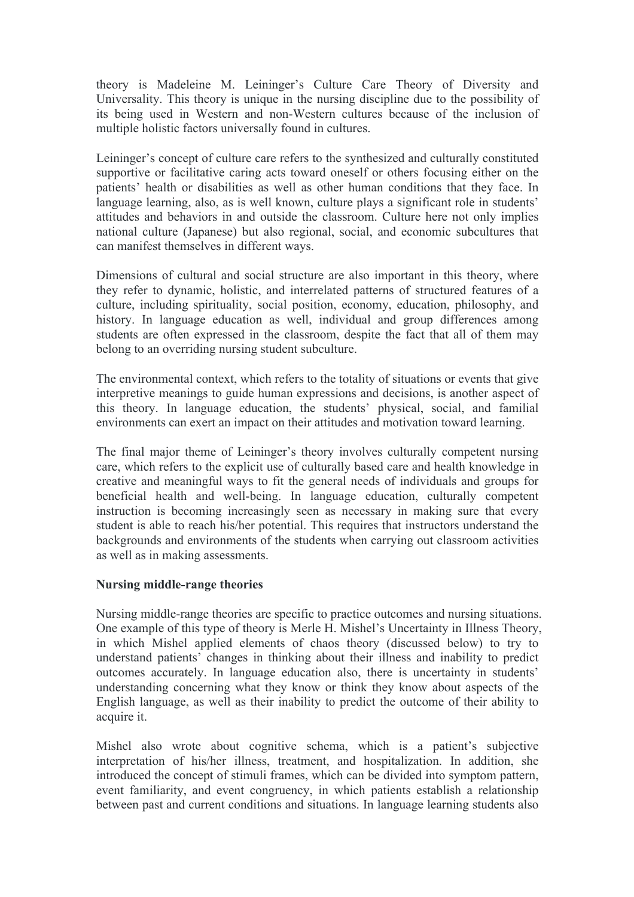theory is Madeleine M. Leininger's Culture Care Theory of Diversity and Universality. This theory is unique in the nursing discipline due to the possibility of its being used in Western and non-Western cultures because of the inclusion of multiple holistic factors universally found in cultures.

Leininger's concept of culture care refers to the synthesized and culturally constituted supportive or facilitative caring acts toward oneself or others focusing either on the patients' health or disabilities as well as other human conditions that they face. In language learning, also, as is well known, culture plays a significant role in students' attitudes and behaviors in and outside the classroom. Culture here not only implies national culture (Japanese) but also regional, social, and economic subcultures that can manifest themselves in different ways.

Dimensions of cultural and social structure are also important in this theory, where they refer to dynamic, holistic, and interrelated patterns of structured features of a culture, including spirituality, social position, economy, education, philosophy, and history. In language education as well, individual and group differences among students are often expressed in the classroom, despite the fact that all of them may belong to an overriding nursing student subculture.

The environmental context, which refers to the totality of situations or events that give interpretive meanings to guide human expressions and decisions, is another aspect of this theory. In language education, the students' physical, social, and familial environments can exert an impact on their attitudes and motivation toward learning.

The final major theme of Leininger's theory involves culturally competent nursing care, which refers to the explicit use of culturally based care and health knowledge in creative and meaningful ways to fit the general needs of individuals and groups for beneficial health and well-being. In language education, culturally competent instruction is becoming increasingly seen as necessary in making sure that every student is able to reach his/her potential. This requires that instructors understand the backgrounds and environments of the students when carrying out classroom activities as well as in making assessments.

# **Nursing middle-range theories**

Nursing middle-range theories are specific to practice outcomes and nursing situations. One example of this type of theory is Merle H. Mishel's Uncertainty in Illness Theory, in which Mishel applied elements of chaos theory (discussed below) to try to understand patients' changes in thinking about their illness and inability to predict outcomes accurately. In language education also, there is uncertainty in students' understanding concerning what they know or think they know about aspects of the English language, as well as their inability to predict the outcome of their ability to acquire it.

Mishel also wrote about cognitive schema, which is a patient's subjective interpretation of his/her illness, treatment, and hospitalization. In addition, she introduced the concept of stimuli frames, which can be divided into symptom pattern, event familiarity, and event congruency, in which patients establish a relationship between past and current conditions and situations. In language learning students also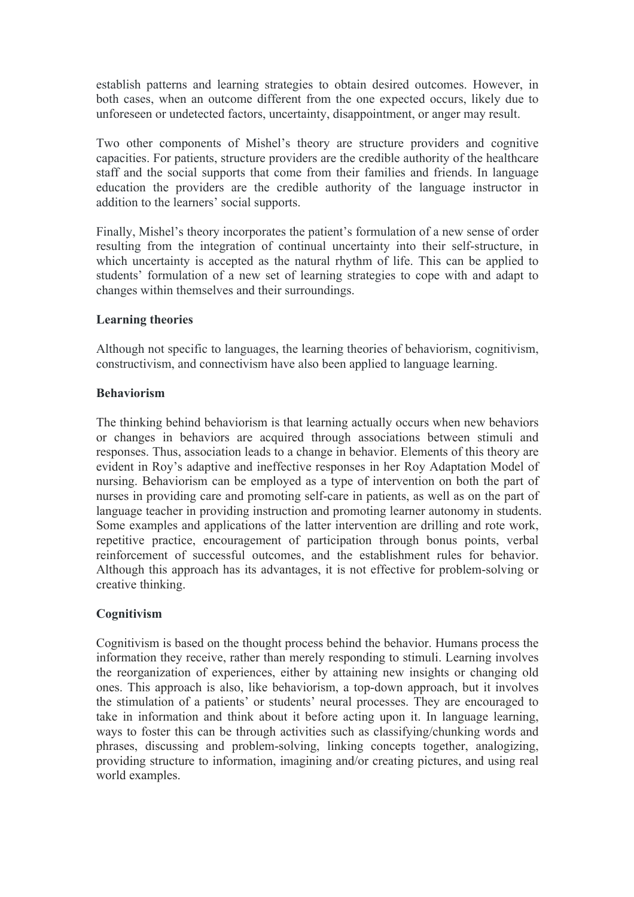establish patterns and learning strategies to obtain desired outcomes. However, in both cases, when an outcome different from the one expected occurs, likely due to unforeseen or undetected factors, uncertainty, disappointment, or anger may result.

Two other components of Mishel's theory are structure providers and cognitive capacities. For patients, structure providers are the credible authority of the healthcare staff and the social supports that come from their families and friends. In language education the providers are the credible authority of the language instructor in addition to the learners' social supports.

Finally, Mishel's theory incorporates the patient's formulation of a new sense of order resulting from the integration of continual uncertainty into their self-structure, in which uncertainty is accepted as the natural rhythm of life. This can be applied to students' formulation of a new set of learning strategies to cope with and adapt to changes within themselves and their surroundings.

# **Learning theories**

Although not specific to languages, the learning theories of behaviorism, cognitivism, constructivism, and connectivism have also been applied to language learning.

# **Behaviorism**

The thinking behind behaviorism is that learning actually occurs when new behaviors or changes in behaviors are acquired through associations between stimuli and responses. Thus, association leads to a change in behavior. Elements of this theory are evident in Roy's adaptive and ineffective responses in her Roy Adaptation Model of nursing. Behaviorism can be employed as a type of intervention on both the part of nurses in providing care and promoting self-care in patients, as well as on the part of language teacher in providing instruction and promoting learner autonomy in students. Some examples and applications of the latter intervention are drilling and rote work, repetitive practice, encouragement of participation through bonus points, verbal reinforcement of successful outcomes, and the establishment rules for behavior. Although this approach has its advantages, it is not effective for problem-solving or creative thinking.

# **Cognitivism**

Cognitivism is based on the thought process behind the behavior. Humans process the information they receive, rather than merely responding to stimuli. Learning involves the reorganization of experiences, either by attaining new insights or changing old ones. This approach is also, like behaviorism, a top-down approach, but it involves the stimulation of a patients' or students' neural processes. They are encouraged to take in information and think about it before acting upon it. In language learning, ways to foster this can be through activities such as classifying/chunking words and phrases, discussing and problem-solving, linking concepts together, analogizing, providing structure to information, imagining and/or creating pictures, and using real world examples.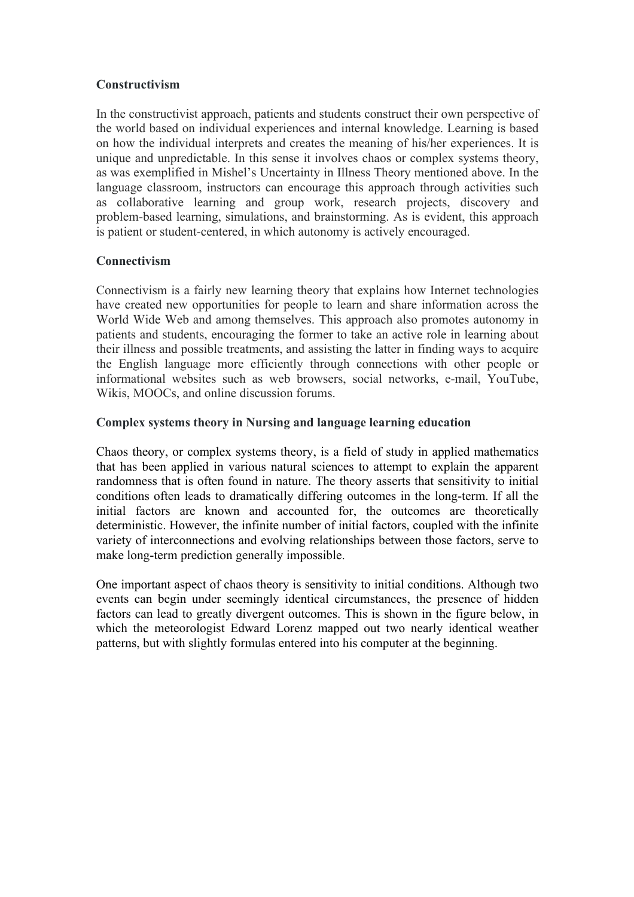# **Constructivism**

In the constructivist approach, patients and students construct their own perspective of the world based on individual experiences and internal knowledge. Learning is based on how the individual interprets and creates the meaning of his/her experiences. It is unique and unpredictable. In this sense it involves chaos or complex systems theory, as was exemplified in Mishel's Uncertainty in Illness Theory mentioned above. In the language classroom, instructors can encourage this approach through activities such as collaborative learning and group work, research projects, discovery and problem-based learning, simulations, and brainstorming. As is evident, this approach is patient or student-centered, in which autonomy is actively encouraged.

# **Connectivism**

Connectivism is a fairly new learning theory that explains how Internet technologies have created new opportunities for people to learn and share information across the World Wide Web and among themselves. This approach also promotes autonomy in patients and students, encouraging the former to take an active role in learning about their illness and possible treatments, and assisting the latter in finding ways to acquire the English language more efficiently through connections with other people or informational websites such as web browsers, social networks, e-mail, YouTube, Wikis, MOOCs, and online discussion forums.

# **Complex systems theory in Nursing and language learning education**

Chaos theory, or complex systems theory, is a field of study in applied mathematics that has been applied in various natural sciences to attempt to explain the apparent randomness that is often found in nature. The theory asserts that sensitivity to initial conditions often leads to dramatically differing outcomes in the long-term. If all the initial factors are known and accounted for, the outcomes are theoretically deterministic. However, the infinite number of initial factors, coupled with the infinite variety of interconnections and evolving relationships between those factors, serve to make long-term prediction generally impossible.

One important aspect of chaos theory is sensitivity to initial conditions. Although two events can begin under seemingly identical circumstances, the presence of hidden factors can lead to greatly divergent outcomes. This is shown in the figure below, in which the meteorologist Edward Lorenz mapped out two nearly identical weather patterns, but with slightly formulas entered into his computer at the beginning.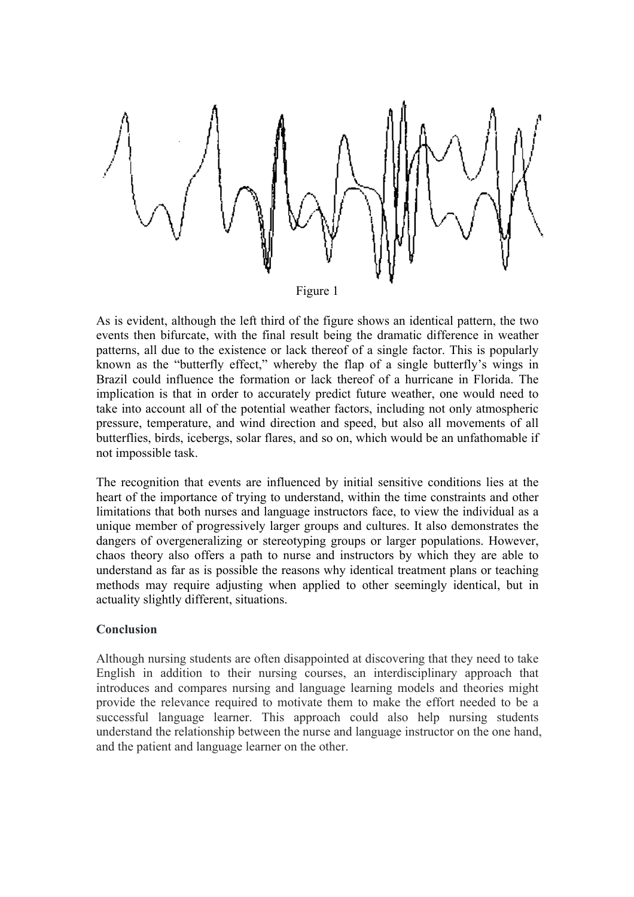

Figure 1

As is evident, although the left third of the figure shows an identical pattern, the two events then bifurcate, with the final result being the dramatic difference in weather patterns, all due to the existence or lack thereof of a single factor. This is popularly known as the "butterfly effect," whereby the flap of a single butterfly's wings in Brazil could influence the formation or lack thereof of a hurricane in Florida. The implication is that in order to accurately predict future weather, one would need to take into account all of the potential weather factors, including not only atmospheric pressure, temperature, and wind direction and speed, but also all movements of all butterflies, birds, icebergs, solar flares, and so on, which would be an unfathomable if not impossible task.

The recognition that events are influenced by initial sensitive conditions lies at the heart of the importance of trying to understand, within the time constraints and other limitations that both nurses and language instructors face, to view the individual as a unique member of progressively larger groups and cultures. It also demonstrates the dangers of overgeneralizing or stereotyping groups or larger populations. However, chaos theory also offers a path to nurse and instructors by which they are able to understand as far as is possible the reasons why identical treatment plans or teaching methods may require adjusting when applied to other seemingly identical, but in actuality slightly different, situations.

# **Conclusion**

Although nursing students are often disappointed at discovering that they need to take English in addition to their nursing courses, an interdisciplinary approach that introduces and compares nursing and language learning models and theories might provide the relevance required to motivate them to make the effort needed to be a successful language learner. This approach could also help nursing students understand the relationship between the nurse and language instructor on the one hand, and the patient and language learner on the other.